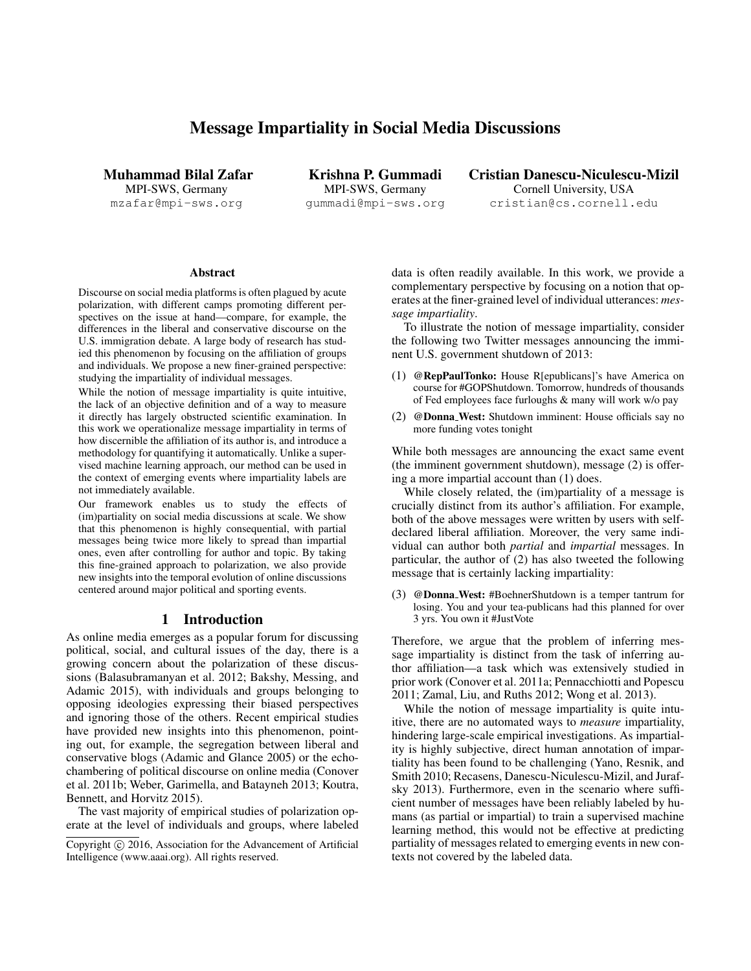# Message Impartiality in Social Media Discussions

Muhammad Bilal Zafar MPI-SWS, Germany mzafar@mpi-sws.org

Krishna P. Gummadi MPI-SWS, Germany gummadi@mpi-sws.org Cristian Danescu-Niculescu-Mizil Cornell University, USA cristian@cs.cornell.edu

#### Abstract

Discourse on social media platforms is often plagued by acute polarization, with different camps promoting different perspectives on the issue at hand—compare, for example, the differences in the liberal and conservative discourse on the U.S. immigration debate. A large body of research has studied this phenomenon by focusing on the affiliation of groups and individuals. We propose a new finer-grained perspective: studying the impartiality of individual messages.

While the notion of message impartiality is quite intuitive, the lack of an objective definition and of a way to measure it directly has largely obstructed scientific examination. In this work we operationalize message impartiality in terms of how discernible the affiliation of its author is, and introduce a methodology for quantifying it automatically. Unlike a supervised machine learning approach, our method can be used in the context of emerging events where impartiality labels are not immediately available.

Our framework enables us to study the effects of (im)partiality on social media discussions at scale. We show that this phenomenon is highly consequential, with partial messages being twice more likely to spread than impartial ones, even after controlling for author and topic. By taking this fine-grained approach to polarization, we also provide new insights into the temporal evolution of online discussions centered around major political and sporting events.

#### 1 Introduction

As online media emerges as a popular forum for discussing political, social, and cultural issues of the day, there is a growing concern about the polarization of these discussions (Balasubramanyan et al. 2012; Bakshy, Messing, and Adamic 2015), with individuals and groups belonging to opposing ideologies expressing their biased perspectives and ignoring those of the others. Recent empirical studies have provided new insights into this phenomenon, pointing out, for example, the segregation between liberal and conservative blogs (Adamic and Glance 2005) or the echochambering of political discourse on online media (Conover et al. 2011b; Weber, Garimella, and Batayneh 2013; Koutra, Bennett, and Horvitz 2015).

The vast majority of empirical studies of polarization operate at the level of individuals and groups, where labeled data is often readily available. In this work, we provide a complementary perspective by focusing on a notion that operates at the finer-grained level of individual utterances: *message impartiality*.

To illustrate the notion of message impartiality, consider the following two Twitter messages announcing the imminent U.S. government shutdown of 2013:

- (1) @RepPaulTonko: House R[epublicans]'s have America on course for #GOPShutdown. Tomorrow, hundreds of thousands of Fed employees face furloughs & many will work w/o pay
- (2) @Donna West: Shutdown imminent: House officials say no more funding votes tonight

While both messages are announcing the exact same event (the imminent government shutdown), message (2) is offering a more impartial account than (1) does.

While closely related, the (im)partiality of a message is crucially distinct from its author's affiliation. For example, both of the above messages were written by users with selfdeclared liberal affiliation. Moreover, the very same individual can author both *partial* and *impartial* messages. In particular, the author of (2) has also tweeted the following message that is certainly lacking impartiality:

(3) @Donna West: #BoehnerShutdown is a temper tantrum for losing. You and your tea-publicans had this planned for over 3 yrs. You own it #JustVote

Therefore, we argue that the problem of inferring message impartiality is distinct from the task of inferring author affiliation—a task which was extensively studied in prior work (Conover et al. 2011a; Pennacchiotti and Popescu 2011; Zamal, Liu, and Ruths 2012; Wong et al. 2013).

While the notion of message impartiality is quite intuitive, there are no automated ways to *measure* impartiality, hindering large-scale empirical investigations. As impartiality is highly subjective, direct human annotation of impartiality has been found to be challenging (Yano, Resnik, and Smith 2010; Recasens, Danescu-Niculescu-Mizil, and Jurafsky 2013). Furthermore, even in the scenario where sufficient number of messages have been reliably labeled by humans (as partial or impartial) to train a supervised machine learning method, this would not be effective at predicting partiality of messages related to emerging events in new contexts not covered by the labeled data.

Copyright  $\odot$  2016, Association for the Advancement of Artificial Intelligence (www.aaai.org). All rights reserved.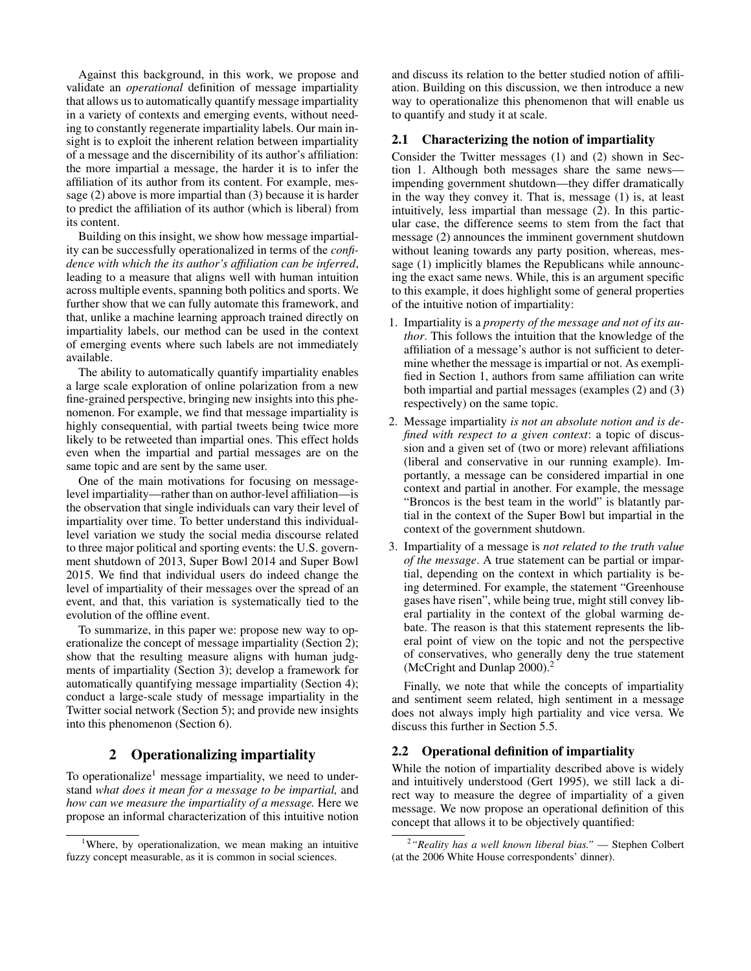Against this background, in this work, we propose and validate an *operational* definition of message impartiality that allows us to automatically quantify message impartiality in a variety of contexts and emerging events, without needing to constantly regenerate impartiality labels. Our main insight is to exploit the inherent relation between impartiality of a message and the discernibility of its author's affiliation: the more impartial a message, the harder it is to infer the affiliation of its author from its content. For example, message (2) above is more impartial than (3) because it is harder to predict the affiliation of its author (which is liberal) from its content.

Building on this insight, we show how message impartiality can be successfully operationalized in terms of the *confidence with which the its author's affiliation can be inferred*, leading to a measure that aligns well with human intuition across multiple events, spanning both politics and sports. We further show that we can fully automate this framework, and that, unlike a machine learning approach trained directly on impartiality labels, our method can be used in the context of emerging events where such labels are not immediately available.

The ability to automatically quantify impartiality enables a large scale exploration of online polarization from a new fine-grained perspective, bringing new insights into this phenomenon. For example, we find that message impartiality is highly consequential, with partial tweets being twice more likely to be retweeted than impartial ones. This effect holds even when the impartial and partial messages are on the same topic and are sent by the same user.

One of the main motivations for focusing on messagelevel impartiality—rather than on author-level affiliation—is the observation that single individuals can vary their level of impartiality over time. To better understand this individuallevel variation we study the social media discourse related to three major political and sporting events: the U.S. government shutdown of 2013, Super Bowl 2014 and Super Bowl 2015. We find that individual users do indeed change the level of impartiality of their messages over the spread of an event, and that, this variation is systematically tied to the evolution of the offline event.

To summarize, in this paper we: propose new way to operationalize the concept of message impartiality (Section 2); show that the resulting measure aligns with human judgments of impartiality (Section 3); develop a framework for automatically quantifying message impartiality (Section 4); conduct a large-scale study of message impartiality in the Twitter social network (Section 5); and provide new insights into this phenomenon (Section 6).

# 2 Operationalizing impartiality

To operationalize<sup>1</sup> message impartiality, we need to understand *what does it mean for a message to be impartial,* and *how can we measure the impartiality of a message.* Here we propose an informal characterization of this intuitive notion

and discuss its relation to the better studied notion of affiliation. Building on this discussion, we then introduce a new way to operationalize this phenomenon that will enable us to quantify and study it at scale.

## 2.1 Characterizing the notion of impartiality

Consider the Twitter messages (1) and (2) shown in Section 1. Although both messages share the same news impending government shutdown—they differ dramatically in the way they convey it. That is, message (1) is, at least intuitively, less impartial than message (2). In this particular case, the difference seems to stem from the fact that message (2) announces the imminent government shutdown without leaning towards any party position, whereas, message (1) implicitly blames the Republicans while announcing the exact same news. While, this is an argument specific to this example, it does highlight some of general properties of the intuitive notion of impartiality:

- 1. Impartiality is a *property of the message and not of its author*. This follows the intuition that the knowledge of the affiliation of a message's author is not sufficient to determine whether the message is impartial or not. As exemplified in Section 1, authors from same affiliation can write both impartial and partial messages (examples (2) and (3) respectively) on the same topic.
- 2. Message impartiality *is not an absolute notion and is defined with respect to a given context*: a topic of discussion and a given set of (two or more) relevant affiliations (liberal and conservative in our running example). Importantly, a message can be considered impartial in one context and partial in another. For example, the message "Broncos is the best team in the world" is blatantly partial in the context of the Super Bowl but impartial in the context of the government shutdown.
- 3. Impartiality of a message is *not related to the truth value of the message*. A true statement can be partial or impartial, depending on the context in which partiality is being determined. For example, the statement "Greenhouse gases have risen", while being true, might still convey liberal partiality in the context of the global warming debate. The reason is that this statement represents the liberal point of view on the topic and not the perspective of conservatives, who generally deny the true statement (McCright and Dunlap 2000).<sup>2</sup>

Finally, we note that while the concepts of impartiality and sentiment seem related, high sentiment in a message does not always imply high partiality and vice versa. We discuss this further in Section 5.5.

#### 2.2 Operational definition of impartiality

While the notion of impartiality described above is widely and intuitively understood (Gert 1995), we still lack a direct way to measure the degree of impartiality of a given message. We now propose an operational definition of this concept that allows it to be objectively quantified:

<sup>&</sup>lt;sup>1</sup>Where, by operationalization, we mean making an intuitive fuzzy concept measurable, as it is common in social sciences.

<sup>2</sup> *"Reality has a well known liberal bias."* — Stephen Colbert (at the 2006 White House correspondents' dinner).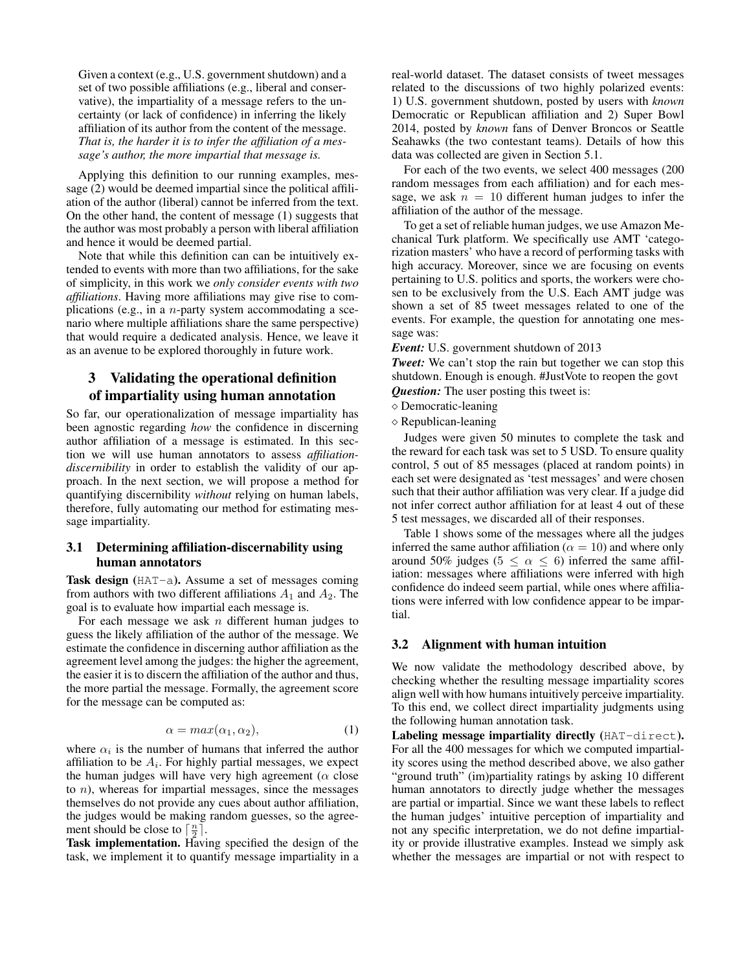Given a context (e.g., U.S. government shutdown) and a set of two possible affiliations (e.g., liberal and conservative), the impartiality of a message refers to the uncertainty (or lack of confidence) in inferring the likely affiliation of its author from the content of the message. *That is, the harder it is to infer the affiliation of a message's author, the more impartial that message is.*

Applying this definition to our running examples, message (2) would be deemed impartial since the political affiliation of the author (liberal) cannot be inferred from the text. On the other hand, the content of message (1) suggests that the author was most probably a person with liberal affiliation and hence it would be deemed partial.

Note that while this definition can can be intuitively extended to events with more than two affiliations, for the sake of simplicity, in this work we *only consider events with two affiliations*. Having more affiliations may give rise to complications (e.g., in a n-party system accommodating a scenario where multiple affiliations share the same perspective) that would require a dedicated analysis. Hence, we leave it as an avenue to be explored thoroughly in future work.

# 3 Validating the operational definition of impartiality using human annotation

So far, our operationalization of message impartiality has been agnostic regarding *how* the confidence in discerning author affiliation of a message is estimated. In this section we will use human annotators to assess *affiliationdiscernibility* in order to establish the validity of our approach. In the next section, we will propose a method for quantifying discernibility *without* relying on human labels, therefore, fully automating our method for estimating message impartiality.

## 3.1 Determining affiliation-discernability using human annotators

Task design (HAT-a). Assume a set of messages coming from authors with two different affiliations  $A_1$  and  $A_2$ . The goal is to evaluate how impartial each message is.

For each message we ask  $n$  different human judges to guess the likely affiliation of the author of the message. We estimate the confidence in discerning author affiliation as the agreement level among the judges: the higher the agreement, the easier it is to discern the affiliation of the author and thus, the more partial the message. Formally, the agreement score for the message can be computed as:

$$
\alpha = \max(\alpha_1, \alpha_2),\tag{1}
$$

where  $\alpha_i$  is the number of humans that inferred the author affiliation to be  $A_i$ . For highly partial messages, we expect the human judges will have very high agreement ( $\alpha$  close to  $n$ ), whereas for impartial messages, since the messages themselves do not provide any cues about author affiliation, the judges would be making random guesses, so the agreement should be close to  $\left[\frac{n}{2}\right]$ .

Task implementation. Having specified the design of the task, we implement it to quantify message impartiality in a real-world dataset. The dataset consists of tweet messages related to the discussions of two highly polarized events: 1) U.S. government shutdown, posted by users with *known* Democratic or Republican affiliation and 2) Super Bowl 2014, posted by *known* fans of Denver Broncos or Seattle Seahawks (the two contestant teams). Details of how this data was collected are given in Section 5.1.

For each of the two events, we select 400 messages (200 random messages from each affiliation) and for each message, we ask  $n = 10$  different human judges to infer the affiliation of the author of the message.

To get a set of reliable human judges, we use Amazon Mechanical Turk platform. We specifically use AMT 'categorization masters' who have a record of performing tasks with high accuracy. Moreover, since we are focusing on events pertaining to U.S. politics and sports, the workers were chosen to be exclusively from the U.S. Each AMT judge was shown a set of 85 tweet messages related to one of the events. For example, the question for annotating one message was:

*Event:* U.S. government shutdown of 2013

*Tweet:* We can't stop the rain but together we can stop this shutdown. Enough is enough. #JustVote to reopen the govt *Question:* The user posting this tweet is:

 $\diamond$  Democratic-leaning

 $\diamond$  Republican-leaning

Judges were given 50 minutes to complete the task and the reward for each task was set to 5 USD. To ensure quality control, 5 out of 85 messages (placed at random points) in each set were designated as 'test messages' and were chosen such that their author affiliation was very clear. If a judge did not infer correct author affiliation for at least 4 out of these 5 test messages, we discarded all of their responses.

Table 1 shows some of the messages where all the judges inferred the same author affiliation ( $\alpha = 10$ ) and where only around 50% judges ( $5 \le \alpha \le 6$ ) inferred the same affiliation: messages where affiliations were inferred with high confidence do indeed seem partial, while ones where affiliations were inferred with low confidence appear to be impartial.

### 3.2 Alignment with human intuition

We now validate the methodology described above, by checking whether the resulting message impartiality scores align well with how humans intuitively perceive impartiality. To this end, we collect direct impartiality judgments using the following human annotation task.

Labeling message impartiality directly (HAT-direct). For all the 400 messages for which we computed impartiality scores using the method described above, we also gather "ground truth" (im)partiality ratings by asking 10 different human annotators to directly judge whether the messages are partial or impartial. Since we want these labels to reflect the human judges' intuitive perception of impartiality and not any specific interpretation, we do not define impartiality or provide illustrative examples. Instead we simply ask whether the messages are impartial or not with respect to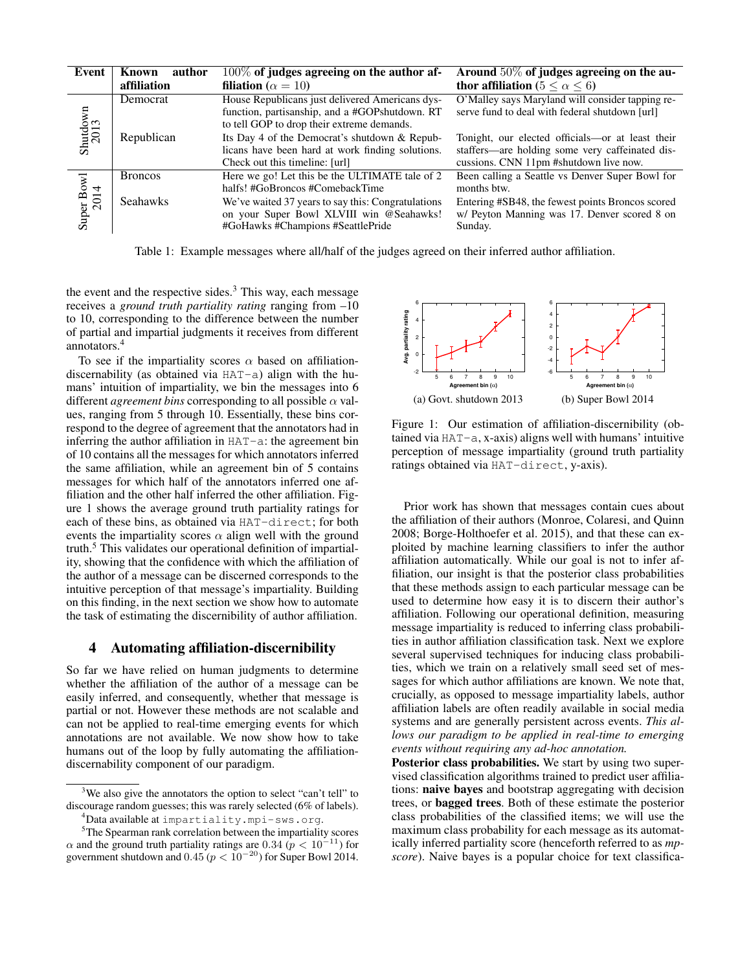| Event                | author<br>Known<br>affiliation | 100% of judges agreeing on the author af-<br>filiation ( $\alpha = 10$ )                                                                        | Around $50\%$ of judges agreeing on the au-<br>thor affiliation ( $5 \le \alpha \le 6$ )                                                      |
|----------------------|--------------------------------|-------------------------------------------------------------------------------------------------------------------------------------------------|-----------------------------------------------------------------------------------------------------------------------------------------------|
| Shutdown<br>2013     | Democrat                       | House Republicans just delivered Americans dys-<br>function, partisanship, and a #GOPshutdown. RT<br>to tell GOP to drop their extreme demands. | O'Malley says Maryland will consider tapping re-<br>serve fund to deal with federal shutdown [url]                                            |
|                      | Republican                     | Its Day 4 of the Democrat's shutdown & Repub-<br>licans have been hard at work finding solutions.<br>Check out this timeline: [url]             | Tonight, our elected officials—or at least their<br>staffers—are holding some very caffeinated dis-<br>cussions. CNN 11pm #shutdown live now. |
| Super Bowl<br>$2014$ | <b>Broncos</b>                 | Here we go! Let this be the ULTIMATE tale of 2<br>halfs! #GoBroncos #ComebackTime                                                               | Been calling a Seattle vs Denver Super Bowl for<br>months btw.                                                                                |
|                      | <b>Seahawks</b>                | We've waited 37 years to say this: Congratulations<br>on your Super Bowl XLVIII win @Seahawks!<br>#GoHawks #Champions #SeattlePride             | Entering #SB48, the fewest points Broncos scored<br>w/ Peyton Manning was 17. Denver scored 8 on<br>Sunday.                                   |

Table 1: Example messages where all/half of the judges agreed on their inferred author affiliation.

the event and the respective sides. $3$  This way, each message receives a *ground truth partiality rating* ranging from –10 to 10, corresponding to the difference between the number of partial and impartial judgments it receives from different annotators.<sup>4</sup>

To see if the impartiality scores  $\alpha$  based on affiliationdiscernability (as obtained via HAT-a) align with the humans' intuition of impartiality, we bin the messages into 6 different *agreement bins* corresponding to all possible  $\alpha$  values, ranging from 5 through 10. Essentially, these bins correspond to the degree of agreement that the annotators had in inferring the author affiliation in HAT-a: the agreement bin of 10 contains all the messages for which annotators inferred the same affiliation, while an agreement bin of 5 contains messages for which half of the annotators inferred one affiliation and the other half inferred the other affiliation. Figure 1 shows the average ground truth partiality ratings for each of these bins, as obtained via HAT-direct; for both events the impartiality scores  $\alpha$  align well with the ground truth.<sup>5</sup> This validates our operational definition of impartiality, showing that the confidence with which the affiliation of the author of a message can be discerned corresponds to the intuitive perception of that message's impartiality. Building on this finding, in the next section we show how to automate the task of estimating the discernibility of author affiliation. to 10, corresponding to the difference between the unificant corresponding to the different elevent the unificant and inpartial judgments it receives from different  $\frac{3}{4}$ . The case of the impartiality scores  $\alpha$  base

#### 4 Automating affiliation-discernibility

So far we have relied on human judgments to determine whether the affiliation of the author of a message can be easily inferred, and consequently, whether that message is partial or not. However these methods are not scalable and can not be applied to real-time emerging events for which annotations are not available. We now show how to take humans out of the loop by fully automating the affiliationdiscernability component of our paradigm.



Figure 1: Our estimation of affiliation-discernibility (obtained via HAT-a, x-axis) aligns well with humans' intuitive perception of message impartiality (ground truth partiality ratings obtained via HAT-direct, y-axis).

Prior work has shown that messages contain cues about the affiliation of their authors (Monroe, Colaresi, and Quinn 2008; Borge-Holthoefer et al. 2015), and that these can exploited by machine learning classifiers to infer the author affiliation automatically. While our goal is not to infer affiliation, our insight is that the posterior class probabilities that these methods assign to each particular message can be used to determine how easy it is to discern their author's affiliation. Following our operational definition, measuring message impartiality is reduced to inferring class probabilities in author affiliation classification task. Next we explore several supervised techniques for inducing class probabilities, which we train on a relatively small seed set of messages for which author affiliations are known. We note that, crucially, as opposed to message impartiality labels, author affiliation labels are often readily available in social media systems and are generally persistent across events. *This allows our paradigm to be applied in real-time to emerging events without requiring any ad-hoc annotation.*

Posterior class probabilities. We start by using two supervised classification algorithms trained to predict user affiliations: naive bayes and bootstrap aggregating with decision trees, or bagged trees. Both of these estimate the posterior class probabilities of the classified items; we will use the maximum class probability for each message as its automatically inferred partiality score (henceforth referred to as *mpscore*). Naive bayes is a popular choice for text classifica-

<sup>&</sup>lt;sup>3</sup>We also give the annotators the option to select "can't tell" to discourage random guesses; this was rarely selected (6% of labels).

<sup>4</sup>Data available at impartiality.mpi-sws.org.

<sup>&</sup>lt;sup>5</sup>The Spearman rank correlation between the impartiality scores  $\alpha$  and the ground truth partiality ratings are 0.34 ( $p < 10^{-11}$ ) for government shutdown and 0.45 ( $p < 10^{-20}$ ) for Super Bowl 2014.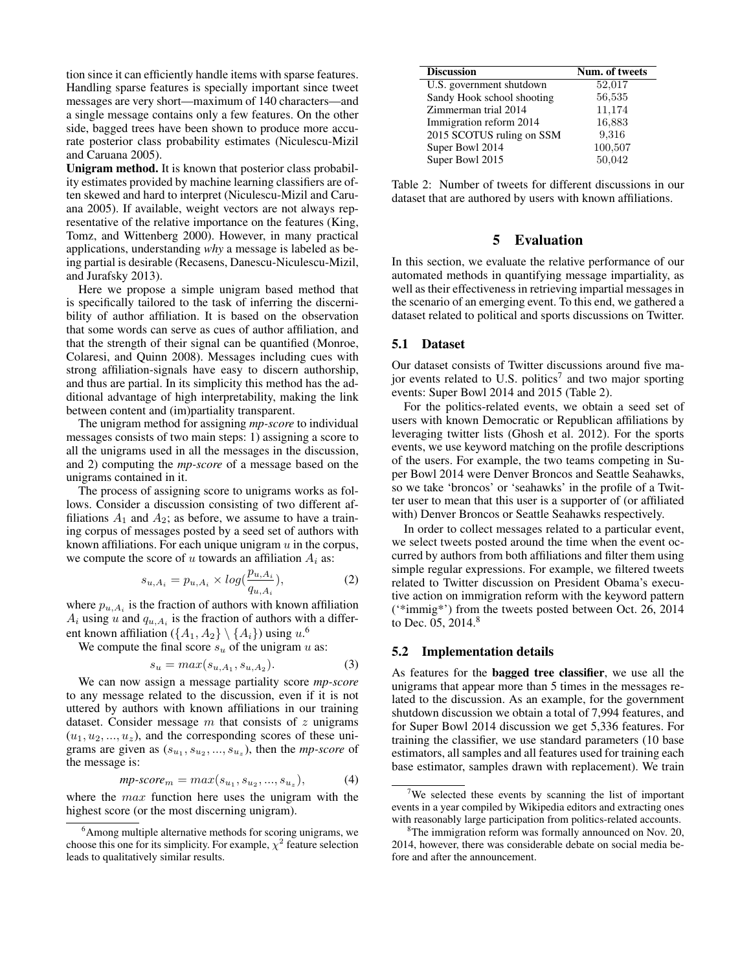tion since it can efficiently handle items with sparse features. Handling sparse features is specially important since tweet messages are very short—maximum of 140 characters—and a single message contains only a few features. On the other side, bagged trees have been shown to produce more accurate posterior class probability estimates (Niculescu-Mizil and Caruana 2005).

Unigram method. It is known that posterior class probability estimates provided by machine learning classifiers are often skewed and hard to interpret (Niculescu-Mizil and Caruana 2005). If available, weight vectors are not always representative of the relative importance on the features (King, Tomz, and Wittenberg 2000). However, in many practical applications, understanding *why* a message is labeled as being partial is desirable (Recasens, Danescu-Niculescu-Mizil, and Jurafsky 2013).

Here we propose a simple unigram based method that is specifically tailored to the task of inferring the discernibility of author affiliation. It is based on the observation that some words can serve as cues of author affiliation, and that the strength of their signal can be quantified (Monroe, Colaresi, and Quinn 2008). Messages including cues with strong affiliation-signals have easy to discern authorship, and thus are partial. In its simplicity this method has the additional advantage of high interpretability, making the link between content and (im)partiality transparent.

The unigram method for assigning *mp-score* to individual messages consists of two main steps: 1) assigning a score to all the unigrams used in all the messages in the discussion, and 2) computing the *mp-score* of a message based on the unigrams contained in it.

The process of assigning score to unigrams works as follows. Consider a discussion consisting of two different affiliations  $A_1$  and  $A_2$ ; as before, we assume to have a training corpus of messages posted by a seed set of authors with known affiliations. For each unique unigram  $u$  in the corpus, we compute the score of u towards an affiliation  $A_i$  as:

$$
s_{u,A_i} = p_{u,A_i} \times \log(\frac{p_{u,A_i}}{q_{u,A_i}}),\tag{2}
$$

where  $p_{u,A_i}$  is the fraction of authors with known affiliation  $A_i$  using u and  $q_{u,A_i}$  is the fraction of authors with a different known affiliation ( $\{A_1, A_2\} \setminus \{A_i\}$ ) using  $u$ .<sup>6</sup>

We compute the final score  $s_u$  of the unigram u as:

$$
s_u = max(s_{u, A_1}, s_{u, A_2}).
$$
\n(3)

We can now assign a message partiality score *mp-score* to any message related to the discussion, even if it is not uttered by authors with known affiliations in our training dataset. Consider message  $m$  that consists of  $z$  unigrams  $(u_1, u_2, ..., u_z)$ , and the corresponding scores of these unigrams are given as  $(s_{u_1}, s_{u_2}, ..., s_{u_z})$ , then the *mp-score* of the message is:

$$
mp\text{-}score_m = max(s_{u_1}, s_{u_2}, ..., s_{u_z}), \tag{4}
$$

where the *max* function here uses the unigram with the highest score (or the most discerning unigram).

| <b>Discussion</b>          | Num. of tweets |
|----------------------------|----------------|
| U.S. government shutdown   | 52,017         |
| Sandy Hook school shooting | 56,535         |
| Zimmerman trial 2014       | 11,174         |
| Immigration reform 2014    | 16,883         |
| 2015 SCOTUS ruling on SSM  | 9,316          |
| Super Bowl 2014            | 100,507        |
| Super Bowl 2015            | 50,042         |

Table 2: Number of tweets for different discussions in our dataset that are authored by users with known affiliations.

### 5 Evaluation

In this section, we evaluate the relative performance of our automated methods in quantifying message impartiality, as well as their effectiveness in retrieving impartial messages in the scenario of an emerging event. To this end, we gathered a dataset related to political and sports discussions on Twitter.

### 5.1 Dataset

Our dataset consists of Twitter discussions around five major events related to U.S. politics<sup>7</sup> and two major sporting events: Super Bowl 2014 and 2015 (Table 2).

For the politics-related events, we obtain a seed set of users with known Democratic or Republican affiliations by leveraging twitter lists (Ghosh et al. 2012). For the sports events, we use keyword matching on the profile descriptions of the users. For example, the two teams competing in Super Bowl 2014 were Denver Broncos and Seattle Seahawks, so we take 'broncos' or 'seahawks' in the profile of a Twitter user to mean that this user is a supporter of (or affiliated with) Denver Broncos or Seattle Seahawks respectively.

In order to collect messages related to a particular event, we select tweets posted around the time when the event occurred by authors from both affiliations and filter them using simple regular expressions. For example, we filtered tweets related to Twitter discussion on President Obama's executive action on immigration reform with the keyword pattern ('\*immig\*') from the tweets posted between Oct. 26, 2014 to Dec. 05, 2014.<sup>8</sup>

#### 5.2 Implementation details

As features for the bagged tree classifier, we use all the unigrams that appear more than 5 times in the messages related to the discussion. As an example, for the government shutdown discussion we obtain a total of 7,994 features, and for Super Bowl 2014 discussion we get 5,336 features. For training the classifier, we use standard parameters (10 base estimators, all samples and all features used for training each base estimator, samples drawn with replacement). We train

<sup>&</sup>lt;sup>6</sup>Among multiple alternative methods for scoring unigrams, we choose this one for its simplicity. For example,  $\chi^2$  feature selection leads to qualitatively similar results.

<sup>&</sup>lt;sup>7</sup>We selected these events by scanning the list of important events in a year compiled by Wikipedia editors and extracting ones with reasonably large participation from politics-related accounts.

<sup>&</sup>lt;sup>8</sup>The immigration reform was formally announced on Nov. 20, 2014, however, there was considerable debate on social media before and after the announcement.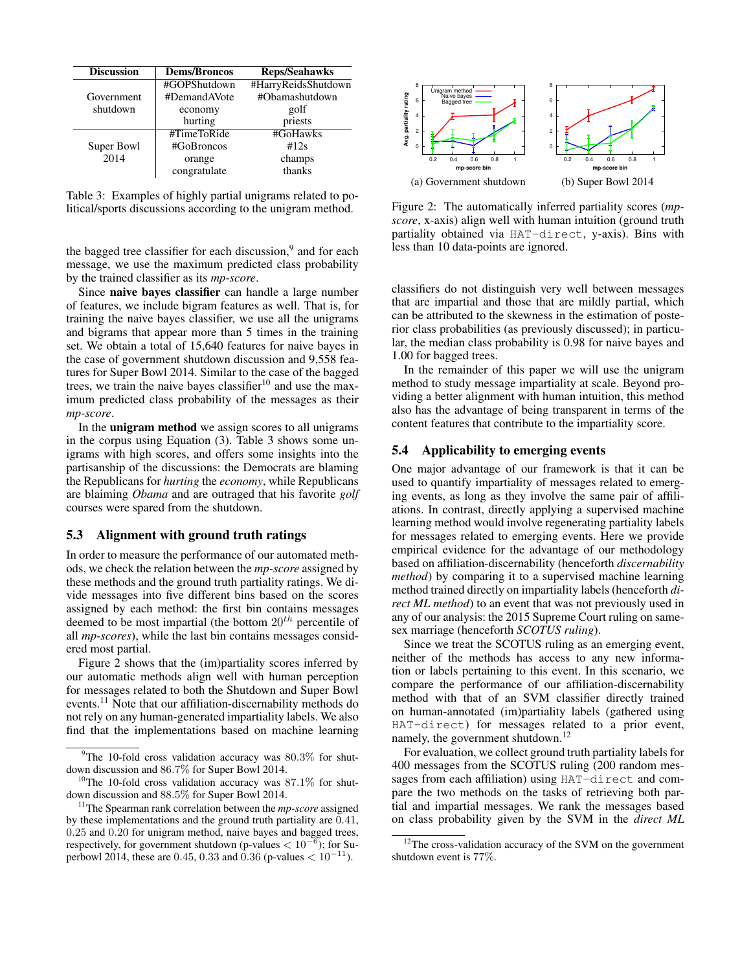| <b>Discussion</b> | <b>Dems/Broncos</b> | <b>Reps/Seahawks</b> |
|-------------------|---------------------|----------------------|
|                   | #GOPShutdown        | #HarryReidsShutdown  |
| Government        | #DemandAVote        | #Obamashutdown       |
| shutdown          | economy             | golf                 |
|                   | hurting             | priests              |
|                   | #TimeToRide         | #GoHawks             |
| Super Bowl        | #GoBroncos          | #12s                 |
| 2014              | orange              | champs               |
|                   | congratulate        | thanks               |

Table 3: Examples of highly partial unigrams related to political/sports discussions according to the unigram method.

the bagged tree classifier for each discussion,<sup>9</sup> and for each message, we use the maximum predicted class probability by the trained classifier as its *mp-score*.

Since naive bayes classifier can handle a large number of features, we include bigram features as well. That is, for training the naive bayes classifier, we use all the unigrams and bigrams that appear more than 5 times in the training set. We obtain a total of 15,640 features for naive bayes in the case of government shutdown discussion and 9,558 features for Super Bowl 2014. Similar to the case of the bagged trees, we train the naive bayes classifier $10$  and use the maximum predicted class probability of the messages as their *mp-score*. **FORM THE CONSERVANT THE CONSERVANT THE CONSERVANT THE SUPRAMENT TO CONSERVANT THE SUPRAMENT CONSERVANT THE SUPRAMENT CONSERVANT THE SUPRAMENT THE SUPRAMENT THE SUPRAMENT THE SUPRAMENT THE SUPRAMENT THE SUPRAMENT THE SUPR** 

In the unigram method we assign scores to all unigrams in the corpus using Equation (3). Table 3 shows some unigrams with high scores, and offers some insights into the partisanship of the discussions: the Democrats are blaming the Republicans for *hurting* the *economy*, while Republicans are blaiming *Obama* and are outraged that his favorite *golf* courses were spared from the shutdown.

### 5.3 Alignment with ground truth ratings

In order to measure the performance of our automated methods, we check the relation between the *mp-score* assigned by these methods and the ground truth partiality ratings. We divide messages into five different bins based on the scores assigned by each method: the first bin contains messages deemed to be most impartial (the bottom  $20^{th}$  percentile of all *mp-scores*), while the last bin contains messages considered most partial.

Figure 2 shows that the (im)partiality scores inferred by our automatic methods align well with human perception for messages related to both the Shutdown and Super Bowl events.<sup>11</sup> Note that our affiliation-discernability methods do not rely on any human-generated impartiality labels. We also find that the implementations based on machine learning



Figure 2: The automatically inferred partiality scores (*mpscore*, x-axis) align well with human intuition (ground truth partiality obtained via HAT-direct, y-axis). Bins with less than 10 data-points are ignored.

classifiers do not distinguish very well between messages that are impartial and those that are mildly partial, which can be attributed to the skewness in the estimation of posterior class probabilities (as previously discussed); in particular, the median class probability is 0.98 for naive bayes and 1.00 for bagged trees.

In the remainder of this paper we will use the unigram method to study message impartiality at scale. Beyond providing a better alignment with human intuition, this method also has the advantage of being transparent in terms of the content features that contribute to the impartiality score.

## 5.4 Applicability to emerging events

One major advantage of our framework is that it can be used to quantify impartiality of messages related to emerging events, as long as they involve the same pair of affiliations. In contrast, directly applying a supervised machine learning method would involve regenerating partiality labels for messages related to emerging events. Here we provide empirical evidence for the advantage of our methodology based on affiliation-discernability (henceforth *discernability method*) by comparing it to a supervised machine learning method trained directly on impartiality labels (henceforth *direct ML method*) to an event that was not previously used in any of our analysis: the 2015 Supreme Court ruling on samesex marriage (henceforth *SCOTUS ruling*).

Since we treat the SCOTUS ruling as an emerging event, neither of the methods has access to any new information or labels pertaining to this event. In this scenario, we compare the performance of our affiliation-discernability method with that of an SVM classifier directly trained on human-annotated (im)partiality labels (gathered using HAT-direct) for messages related to a prior event, namely, the government shutdown.<sup>12</sup>

For evaluation, we collect ground truth partiality labels for 400 messages from the SCOTUS ruling (200 random messages from each affiliation) using HAT-direct and compare the two methods on the tasks of retrieving both partial and impartial messages. We rank the messages based on class probability given by the SVM in the *direct ML*

 $9$ The 10-fold cross validation accuracy was 80.3% for shutdown discussion and 86.7% for Super Bowl 2014.

 $10$ The 10-fold cross validation accuracy was 87.1% for shutdown discussion and 88.5% for Super Bowl 2014.

<sup>11</sup>The Spearman rank correlation between the *mp-score* assigned by these implementations and the ground truth partiality are 0.41, 0.25 and 0.20 for unigram method, naive bayes and bagged trees, respectively, for government shutdown (p-values  $< 10^{-6}$ ); for Su-

 $12$ The cross-validation accuracy of the SVM on the government shutdown event is 77%.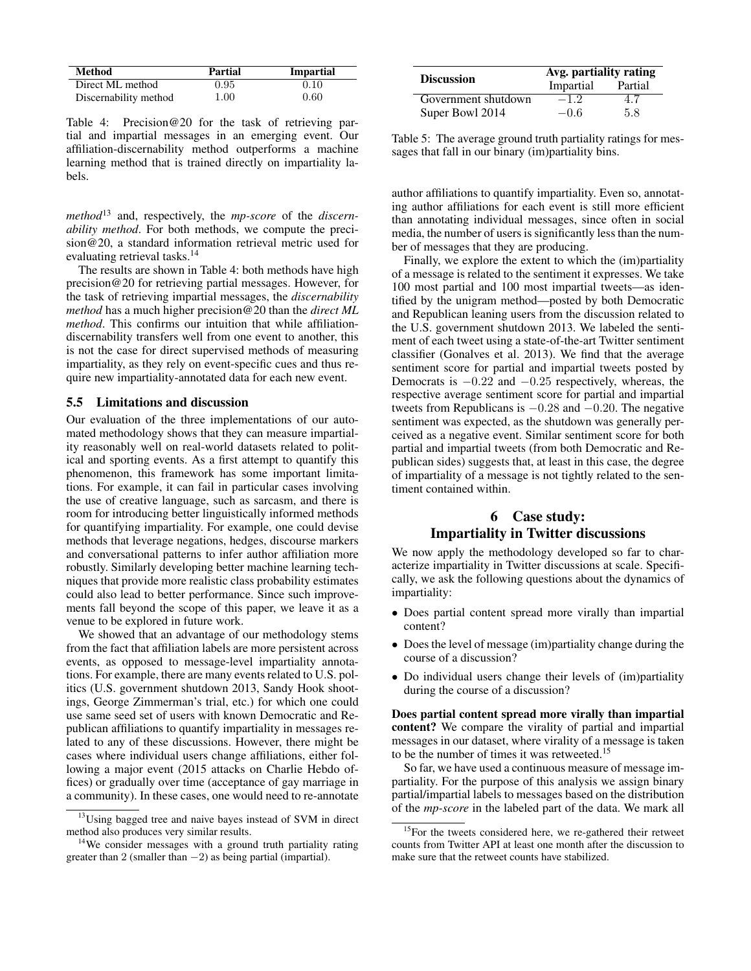| <b>Method</b>         | Partial | <b>Impartial</b> |
|-----------------------|---------|------------------|
| Direct ML method      | 0.95    | 0.10             |
| Discernability method | 1.00    | 0.60             |

Table 4: Precision@20 for the task of retrieving partial and impartial messages in an emerging event. Our affiliation-discernability method outperforms a machine learning method that is trained directly on impartiality labels.

*method*<sup>13</sup> and, respectively, the *mp-score* of the *discernability method*. For both methods, we compute the precision@20, a standard information retrieval metric used for evaluating retrieval tasks.<sup>14</sup>

The results are shown in Table 4: both methods have high precision@20 for retrieving partial messages. However, for the task of retrieving impartial messages, the *discernability method* has a much higher precision@20 than the *direct ML method*. This confirms our intuition that while affiliationdiscernability transfers well from one event to another, this is not the case for direct supervised methods of measuring impartiality, as they rely on event-specific cues and thus require new impartiality-annotated data for each new event.

#### 5.5 Limitations and discussion

Our evaluation of the three implementations of our automated methodology shows that they can measure impartiality reasonably well on real-world datasets related to political and sporting events. As a first attempt to quantify this phenomenon, this framework has some important limitations. For example, it can fail in particular cases involving the use of creative language, such as sarcasm, and there is room for introducing better linguistically informed methods for quantifying impartiality. For example, one could devise methods that leverage negations, hedges, discourse markers and conversational patterns to infer author affiliation more robustly. Similarly developing better machine learning techniques that provide more realistic class probability estimates could also lead to better performance. Since such improvements fall beyond the scope of this paper, we leave it as a venue to be explored in future work.

We showed that an advantage of our methodology stems from the fact that affiliation labels are more persistent across events, as opposed to message-level impartiality annotations. For example, there are many events related to U.S. politics (U.S. government shutdown 2013, Sandy Hook shootings, George Zimmerman's trial, etc.) for which one could use same seed set of users with known Democratic and Republican affiliations to quantify impartiality in messages related to any of these discussions. However, there might be cases where individual users change affiliations, either following a major event (2015 attacks on Charlie Hebdo offices) or gradually over time (acceptance of gay marriage in a community). In these cases, one would need to re-annotate

| <b>Discussion</b>   | Avg. partiality rating |         |  |
|---------------------|------------------------|---------|--|
|                     | Impartial              | Partial |  |
| Government shutdown | $-1.2$                 | 4.7     |  |
| Super Bowl 2014     | $-0.6$                 | 5.8     |  |

Table 5: The average ground truth partiality ratings for messages that fall in our binary (im)partiality bins.

author affiliations to quantify impartiality. Even so, annotating author affiliations for each event is still more efficient than annotating individual messages, since often in social media, the number of users is significantly less than the number of messages that they are producing.

Finally, we explore the extent to which the (im)partiality of a message is related to the sentiment it expresses. We take 100 most partial and 100 most impartial tweets—as identified by the unigram method—posted by both Democratic and Republican leaning users from the discussion related to the U.S. government shutdown 2013. We labeled the sentiment of each tweet using a state-of-the-art Twitter sentiment classifier (Gonalves et al. 2013). We find that the average sentiment score for partial and impartial tweets posted by Democrats is  $-0.22$  and  $-0.25$  respectively, whereas, the respective average sentiment score for partial and impartial tweets from Republicans is −0.28 and −0.20. The negative sentiment was expected, as the shutdown was generally perceived as a negative event. Similar sentiment score for both partial and impartial tweets (from both Democratic and Republican sides) suggests that, at least in this case, the degree of impartiality of a message is not tightly related to the sentiment contained within.

# 6 Case study: Impartiality in Twitter discussions

We now apply the methodology developed so far to characterize impartiality in Twitter discussions at scale. Specifically, we ask the following questions about the dynamics of impartiality:

- Does partial content spread more virally than impartial content?
- Does the level of message (im)partiality change during the course of a discussion?
- Do individual users change their levels of (im)partiality during the course of a discussion?

Does partial content spread more virally than impartial content? We compare the virality of partial and impartial messages in our dataset, where virality of a message is taken to be the number of times it was retweeted.<sup>15</sup>

So far, we have used a continuous measure of message impartiality. For the purpose of this analysis we assign binary partial/impartial labels to messages based on the distribution of the *mp-score* in the labeled part of the data. We mark all

 $13$ Using bagged tree and naive bayes instead of SVM in direct method also produces very similar results.

<sup>&</sup>lt;sup>14</sup>We consider messages with a ground truth partiality rating greater than 2 (smaller than  $-2$ ) as being partial (impartial).

 $15$ For the tweets considered here, we re-gathered their retweet counts from Twitter API at least one month after the discussion to make sure that the retweet counts have stabilized.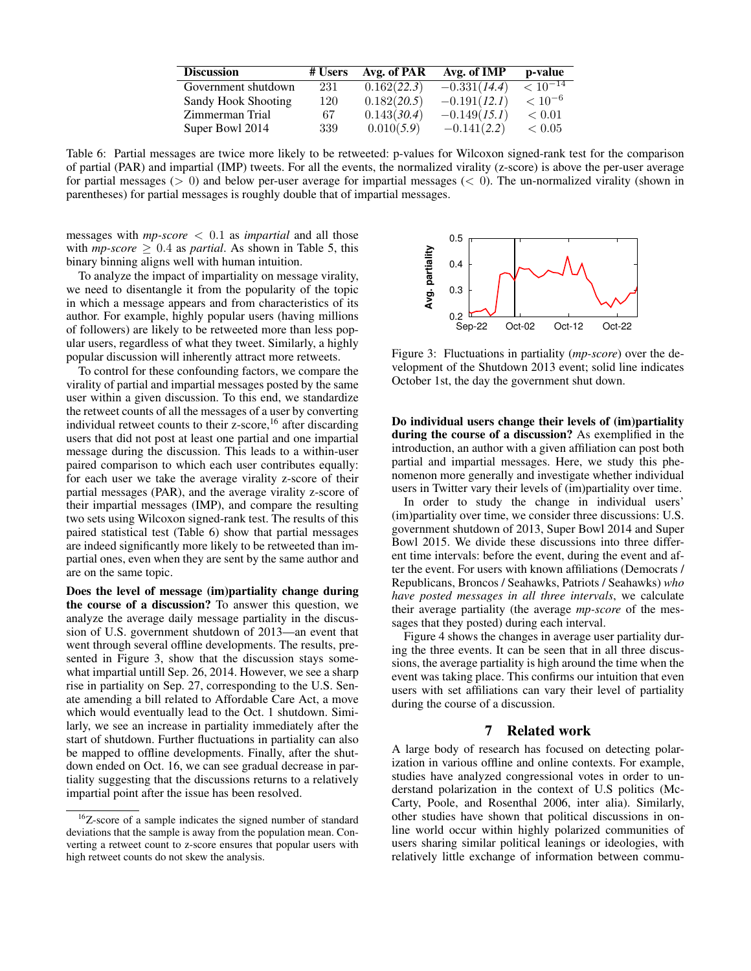| <b>Discussion</b>   | # Users | Avg. of PAR | Avg. of IMP    | p-value           |
|---------------------|---------|-------------|----------------|-------------------|
| Government shutdown | 231     | 0.162(22.3) | $-0.331(14.4)$ | $\sqrt{10^{-14}}$ |
| Sandy Hook Shooting | 120     | 0.182(20.5) | $-0.191(12.1)$ | $< 10^{-6}$       |
| Zimmerman Trial     | 67      | 0.143(30.4) | $-0.149(15.1)$ | ${}< 0.01$        |
| Super Bowl 2014     | 339     | 0.010(5.9)  | $-0.141(2.2)$  | ${}< 0.05$        |

Table 6: Partial messages are twice more likely to be retweeted: p-values for Wilcoxon signed-rank test for the comparison of partial (PAR) and impartial (IMP) tweets. For all the events, the normalized virality (z-score) is above the per-user average for partial messages ( $> 0$ ) and below per-user average for impartial messages ( $< 0$ ). The un-normalized virality (shown in parentheses) for partial messages is roughly double that of impartial messages.

messages with *mp-score* < 0.1 as *impartial* and all those with  $mp\text{-}score \geq 0.4$  as *partial*. As shown in Table 5, this binary binning aligns well with human intuition.

To analyze the impact of impartiality on message virality, we need to disentangle it from the popularity of the topic in which a message appears and from characteristics of its author. For example, highly popular users (having millions of followers) are likely to be retweeted more than less popular users, regardless of what they tweet. Similarly, a highly popular discussion will inherently attract more retweets.

To control for these confounding factors, we compare the virality of partial and impartial messages posted by the same user within a given discussion. To this end, we standardize the retweet counts of all the messages of a user by converting individual retweet counts to their z-score,  $16$  after discarding users that did not post at least one partial and one impartial message during the discussion. This leads to a within-user paired comparison to which each user contributes equally: for each user we take the average virality z-score of their partial messages (PAR), and the average virality z-score of their impartial messages (IMP), and compare the resulting two sets using Wilcoxon signed-rank test. The results of this paired statistical test (Table 6) show that partial messages are indeed significantly more likely to be retweeted than impartial ones, even when they are sent by the same author and are on the same topic. between each to destrained universal many mathematic through the counterparts of the counterparts of the counterparts of the counterparts of the counterparts of the counterparts of the counterparts of the counterparts of

Does the level of message (im)partiality change during the course of a discussion? To answer this question, we analyze the average daily message partiality in the discussion of U.S. government shutdown of 2013—an event that went through several offline developments. The results, presented in Figure 3, show that the discussion stays somewhat impartial untill Sep. 26, 2014. However, we see a sharp rise in partiality on Sep. 27, corresponding to the U.S. Senate amending a bill related to Affordable Care Act, a move which would eventually lead to the Oct. 1 shutdown. Similarly, we see an increase in partiality immediately after the start of shutdown. Further fluctuations in partiality can also be mapped to offline developments. Finally, after the shutdown ended on Oct. 16, we can see gradual decrease in partiality suggesting that the discussions returns to a relatively impartial point after the issue has been resolved.



Figure 3: Fluctuations in partiality (*mp-score*) over the development of the Shutdown 2013 event; solid line indicates October 1st, the day the government shut down.

Do individual users change their levels of (im)partiality during the course of a discussion? As exemplified in the introduction, an author with a given affiliation can post both partial and impartial messages. Here, we study this phenomenon more generally and investigate whether individual users in Twitter vary their levels of (im)partiality over time.

In order to study the change in individual users' (im)partiality over time, we consider three discussions: U.S. government shutdown of 2013, Super Bowl 2014 and Super Bowl 2015. We divide these discussions into three different time intervals: before the event, during the event and after the event. For users with known affiliations (Democrats / Republicans, Broncos / Seahawks, Patriots / Seahawks) *who have posted messages in all three intervals*, we calculate their average partiality (the average *mp-score* of the messages that they posted) during each interval.

Figure 4 shows the changes in average user partiality during the three events. It can be seen that in all three discussions, the average partiality is high around the time when the event was taking place. This confirms our intuition that even users with set affiliations can vary their level of partiality during the course of a discussion.

## 7 Related work

A large body of research has focused on detecting polarization in various offline and online contexts. For example, studies have analyzed congressional votes in order to understand polarization in the context of U.S politics (Mc-Carty, Poole, and Rosenthal 2006, inter alia). Similarly, other studies have shown that political discussions in online world occur within highly polarized communities of users sharing similar political leanings or ideologies, with relatively little exchange of information between commu-

<sup>&</sup>lt;sup>16</sup>Z-score of a sample indicates the signed number of standard deviations that the sample is away from the population mean. Converting a retweet count to z-score ensures that popular users with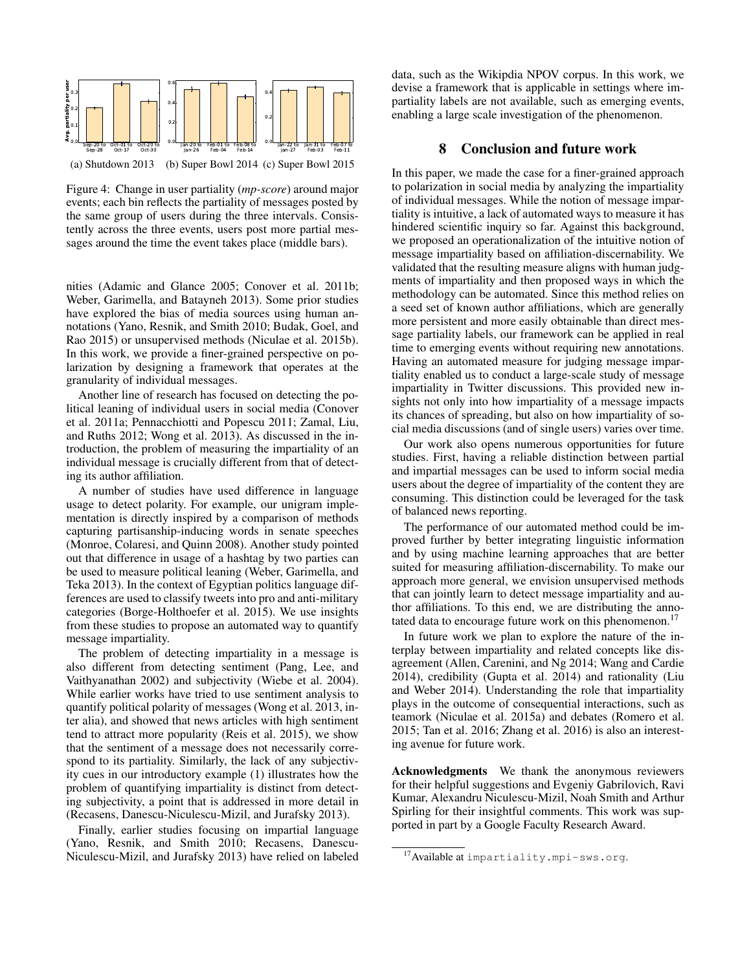

Figure 4: Change in user partiality (*mp-score*) around major events; each bin reflects the partiality of messages posted by the same group of users during the three intervals. Consistently across the three events, users post more partial messages around the time the event takes place (middle bars).

nities (Adamic and Glance 2005; Conover et al. 2011b; Weber, Garimella, and Batayneh 2013). Some prior studies have explored the bias of media sources using human annotations (Yano, Resnik, and Smith 2010; Budak, Goel, and Rao 2015) or unsupervised methods (Niculae et al. 2015b). In this work, we provide a finer-grained perspective on polarization by designing a framework that operates at the granularity of individual messages.

Another line of research has focused on detecting the political leaning of individual users in social media (Conover et al. 2011a; Pennacchiotti and Popescu 2011; Zamal, Liu, and Ruths 2012; Wong et al. 2013). As discussed in the introduction, the problem of measuring the impartiality of an individual message is crucially different from that of detecting its author affiliation.

A number of studies have used difference in language usage to detect polarity. For example, our unigram implementation is directly inspired by a comparison of methods capturing partisanship-inducing words in senate speeches (Monroe, Colaresi, and Quinn 2008). Another study pointed out that difference in usage of a hashtag by two parties can be used to measure political leaning (Weber, Garimella, and Teka 2013). In the context of Egyptian politics language differences are used to classify tweets into pro and anti-military categories (Borge-Holthoefer et al. 2015). We use insights from these studies to propose an automated way to quantify message impartiality.

The problem of detecting impartiality in a message is also different from detecting sentiment (Pang, Lee, and Vaithyanathan 2002) and subjectivity (Wiebe et al. 2004). While earlier works have tried to use sentiment analysis to quantify political polarity of messages (Wong et al. 2013, inter alia), and showed that news articles with high sentiment tend to attract more popularity (Reis et al. 2015), we show that the sentiment of a message does not necessarily correspond to its partiality. Similarly, the lack of any subjectivity cues in our introductory example (1) illustrates how the problem of quantifying impartiality is distinct from detecting subjectivity, a point that is addressed in more detail in (Recasens, Danescu-Niculescu-Mizil, and Jurafsky 2013).

Finally, earlier studies focusing on impartial language (Yano, Resnik, and Smith 2010; Recasens, Danescu-Niculescu-Mizil, and Jurafsky 2013) have relied on labeled

data, such as the Wikipdia NPOV corpus. In this work, we devise a framework that is applicable in settings where impartiality labels are not available, such as emerging events, enabling a large scale investigation of the phenomenon.

## 8 Conclusion and future work

In this paper, we made the case for a finer-grained approach to polarization in social media by analyzing the impartiality of individual messages. While the notion of message impartiality is intuitive, a lack of automated ways to measure it has hindered scientific inquiry so far. Against this background, we proposed an operationalization of the intuitive notion of message impartiality based on affiliation-discernability. We validated that the resulting measure aligns with human judgments of impartiality and then proposed ways in which the methodology can be automated. Since this method relies on a seed set of known author affiliations, which are generally more persistent and more easily obtainable than direct message partiality labels, our framework can be applied in real time to emerging events without requiring new annotations. Having an automated measure for judging message impartiality enabled us to conduct a large-scale study of message impartiality in Twitter discussions. This provided new insights not only into how impartiality of a message impacts its chances of spreading, but also on how impartiality of social media discussions (and of single users) varies over time.

Our work also opens numerous opportunities for future studies. First, having a reliable distinction between partial and impartial messages can be used to inform social media users about the degree of impartiality of the content they are consuming. This distinction could be leveraged for the task of balanced news reporting.

The performance of our automated method could be improved further by better integrating linguistic information and by using machine learning approaches that are better suited for measuring affiliation-discernability. To make our approach more general, we envision unsupervised methods that can jointly learn to detect message impartiality and author affiliations. To this end, we are distributing the annotated data to encourage future work on this phenomenon.<sup>17</sup>

In future work we plan to explore the nature of the interplay between impartiality and related concepts like disagreement (Allen, Carenini, and Ng 2014; Wang and Cardie 2014), credibility (Gupta et al. 2014) and rationality (Liu and Weber 2014). Understanding the role that impartiality plays in the outcome of consequential interactions, such as teamork (Niculae et al. 2015a) and debates (Romero et al. 2015; Tan et al. 2016; Zhang et al. 2016) is also an interesting avenue for future work.

Acknowledgments We thank the anonymous reviewers for their helpful suggestions and Evgeniy Gabrilovich, Ravi Kumar, Alexandru Niculescu-Mizil, Noah Smith and Arthur Spirling for their insightful comments. This work was supported in part by a Google Faculty Research Award.

<sup>17</sup> Available at impartiality.mpi-sws.org.